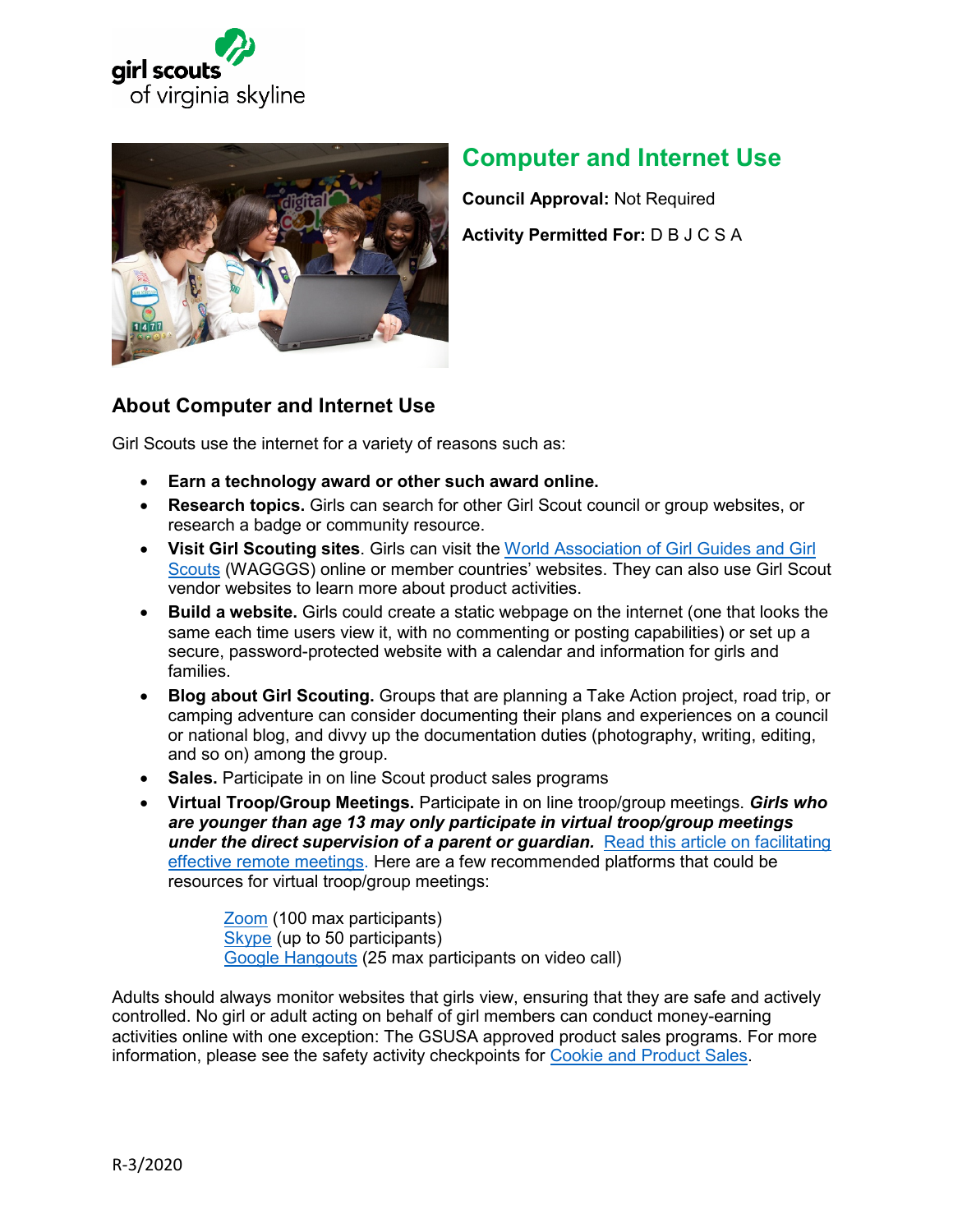



# **Computer and Internet Use**

**Council Approval:** Not Required **Activity Permitted For:** D B J C S A

## **About Computer and Internet Use**

Girl Scouts use the internet for a variety of reasons such as:

- **Earn a technology award or other such award online.**
- **Research topics.** Girls can search for other Girl Scout council or group websites, or research a badge or community resource.
- **Visit Girl Scouting sites**. Girls can visit the [World Association of Girl Guides and Girl](https://www.wagggs.org/en/)  [Scouts](https://www.wagggs.org/en/) (WAGGGS) online or member countries' websites. They can also use Girl Scout vendor websites to learn more about product activities.
- **Build a website.** Girls could create a static webpage on the internet (one that looks the same each time users view it, with no commenting or posting capabilities) or set up a secure, password-protected website with a calendar and information for girls and families.
- **Blog about Girl Scouting.** Groups that are planning a Take Action project, road trip, or camping adventure can consider documenting their plans and experiences on a council or national blog, and divvy up the documentation duties (photography, writing, editing, and so on) among the group.
- **Sales.** Participate in on line Scout product sales programs
- **Virtual Troop/Group Meetings.** Participate in on line troop/group meetings. *Girls who are younger than age 13 may only participate in virtual troop/group meetings*  **under the direct supervision of a parent or guardian.** [Read this article](https://hbr.org/2015/03/how-to-run-a-great-virtual-meeting) on facilitating [effective remote meetings.](https://hbr.org/2015/03/how-to-run-a-great-virtual-meeting) Here are a few recommended platforms that could be resources for virtual troop/group meetings:

[Zoom](https://zoom.us/meetings) (100 max participants) [Skype](https://www.skype.com/en/) (up to 50 participants) [Google Hangouts](https://gsuite.google.com/products/meet/?utm_source=google&utm_medium=cpc&utm_campaign=na-US-all-en-dr-bkws-all-all-trial-e-dr-1008072&utm_content=text-ad-none-any-DEV_c-CRE_246638620286-ADGP_Hybrid%20%7C%20AW%20SEM%20%7C%20BKWS%20%7E%20EXA%20%2F%2F%20Hangouts%20%5B1:1%5D%20Google%20Hangouts-KWID_43700015211414153-kwd-362516399437&utm_term=KW_google%20hangouts-ST_google%20hangouts&gclid=EAIaIQobChMIvtuJxfyS6AIVDovICh0ODAcIEAAYASAAEgK_9vD_BwE&gclsrc=aw.ds) (25 max participants on video call)

Adults should always monitor websites that girls view, ensuring that they are safe and actively controlled. No girl or adult acting on behalf of girl members can conduct money-earning activities online with one exception: The GSUSA approved product sales programs. For more information, please see the safety activity checkpoints for [Cookie and Product Sales.](#page-4-0)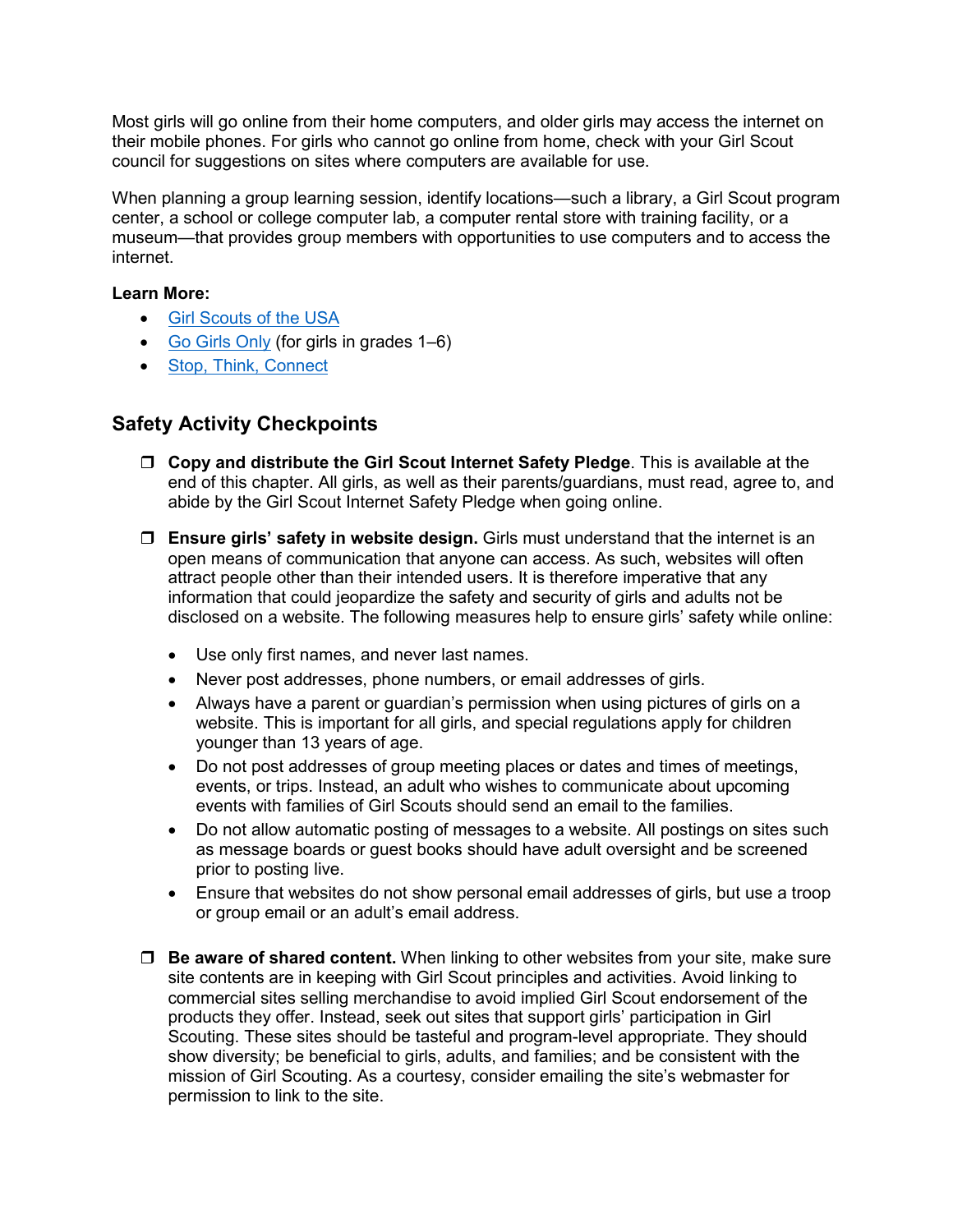Most girls will go online from their home computers, and older girls may access the internet on their mobile phones. For girls who cannot go online from home, check with your Girl Scout council for suggestions on sites where computers are available for use.

When planning a group learning session, identify locations—such a library, a Girl Scout program center, a school or college computer lab, a computer rental store with training facility, or a museum—that provides group members with opportunities to use computers and to access the internet.

### **Learn More:**

- [Girl Scouts of the USA](http://www.girlscouts.org/)
- [Go Girls Only](http://www.girlscouts.org/en/for-girls.html)(for girls in grades 1–6)
- [Stop, Think, Connect](http://forgirls.girlscouts.org/wp-content/uploads/2012/08/STCResourceforKids.pdf)

### **Safety Activity Checkpoints**

- **Copy and distribute the Girl Scout Internet Safety Pledge**. This is available at the end of this chapter. All girls, as well as their parents/guardians, must read, agree to, and abide by the Girl Scout Internet Safety Pledge when going online.
- **Ensure girls' safety in website design.** Girls must understand that the internet is an open means of communication that anyone can access. As such, websites will often attract people other than their intended users. It is therefore imperative that any information that could jeopardize the safety and security of girls and adults not be disclosed on a website. The following measures help to ensure girls' safety while online:
	- Use only first names, and never last names.
	- Never post addresses, phone numbers, or email addresses of girls.
	- Always have a parent or guardian's permission when using pictures of girls on a website. This is important for all girls, and special regulations apply for children younger than 13 years of age.
	- Do not post addresses of group meeting places or dates and times of meetings, events, or trips. Instead, an adult who wishes to communicate about upcoming events with families of Girl Scouts should send an email to the families.
	- Do not allow automatic posting of messages to a website. All postings on sites such as message boards or guest books should have adult oversight and be screened prior to posting live.
	- Ensure that websites do not show personal email addresses of girls, but use a troop or group email or an adult's email address.
- □ **Be aware of shared content.** When linking to other websites from your site, make sure site contents are in keeping with Girl Scout principles and activities. Avoid linking to commercial sites selling merchandise to avoid implied Girl Scout endorsement of the products they offer. Instead, seek out sites that support girls' participation in Girl Scouting. These sites should be tasteful and program-level appropriate. They should show diversity; be beneficial to girls, adults, and families; and be consistent with the mission of Girl Scouting. As a courtesy, consider emailing the site's webmaster for permission to link to the site.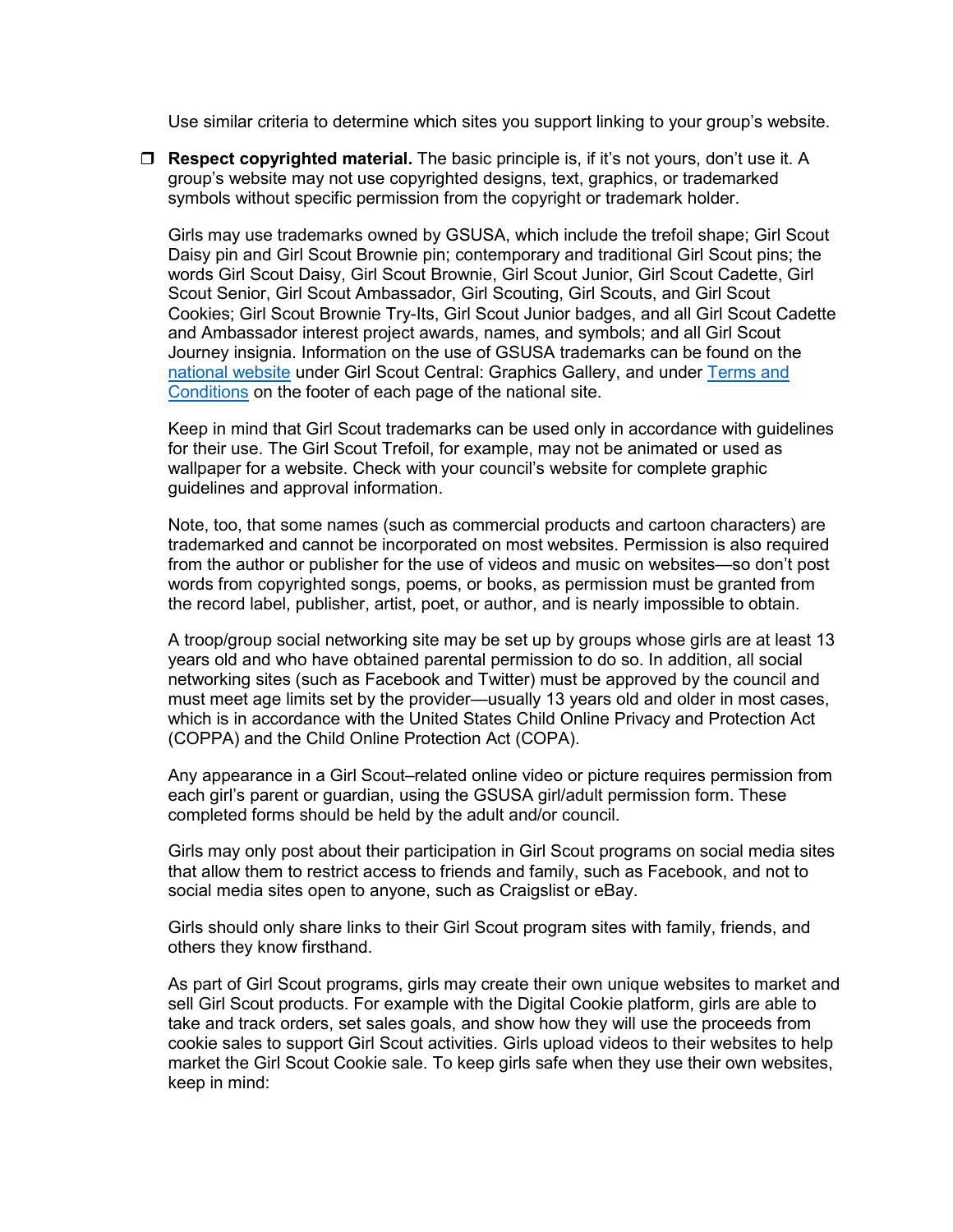Use similar criteria to determine which sites you support linking to your group's website.

 **Respect copyrighted material.** The basic principle is, if it's not yours, don't use it. A group's website may not use copyrighted designs, text, graphics, or trademarked symbols without specific permission from the copyright or trademark holder.

Girls may use trademarks owned by GSUSA, which include the trefoil shape; Girl Scout Daisy pin and Girl Scout Brownie pin; contemporary and traditional Girl Scout pins; the words Girl Scout Daisy, Girl Scout Brownie, Girl Scout Junior, Girl Scout Cadette, Girl Scout Senior, Girl Scout Ambassador, Girl Scouting, Girl Scouts, and Girl Scout Cookies; Girl Scout Brownie Try-Its, Girl Scout Junior badges, and all Girl Scout Cadette and Ambassador interest project awards, names, and symbols; and all Girl Scout Journey insignia. Information on the use of GSUSA trademarks can be found on the [national website](http://www.girlscouts.org/) under Girl Scout Central: Graphics Gallery, and under [Terms and](http://www.girlscouts.org/en/help/help/terms-and-conditions.html)  [Conditions](http://www.girlscouts.org/en/help/help/terms-and-conditions.html) on the footer of each page of the national site.

Keep in mind that Girl Scout trademarks can be used only in accordance with guidelines for their use. The Girl Scout Trefoil, for example, may not be animated or used as wallpaper for a website. Check with your council's website for complete graphic guidelines and approval information.

Note, too, that some names (such as commercial products and cartoon characters) are trademarked and cannot be incorporated on most websites. Permission is also required from the author or publisher for the use of videos and music on websites—so don't post words from copyrighted songs, poems, or books, as permission must be granted from the record label, publisher, artist, poet, or author, and is nearly impossible to obtain.

A troop/group social networking site may be set up by groups whose girls are at least 13 years old and who have obtained parental permission to do so. In addition, all social networking sites (such as Facebook and Twitter) must be approved by the council and must meet age limits set by the provider—usually 13 years old and older in most cases, which is in accordance with the United States Child Online Privacy and Protection Act (COPPA) and the Child Online Protection Act (COPA).

Any appearance in a Girl Scout–related online video or picture requires permission from each girl's parent or guardian, using the GSUSA girl/adult permission form. These completed forms should be held by the adult and/or council.

Girls may only post about their participation in Girl Scout programs on social media sites that allow them to restrict access to friends and family, such as Facebook, and not to social media sites open to anyone, such as Craigslist or eBay.

Girls should only share links to their Girl Scout program sites with family, friends, and others they know firsthand.

As part of Girl Scout programs, girls may create their own unique websites to market and sell Girl Scout products. For example with the Digital Cookie platform, girls are able to take and track orders, set sales goals, and show how they will use the proceeds from cookie sales to support Girl Scout activities. Girls upload videos to their websites to help market the Girl Scout Cookie sale. To keep girls safe when they use their own websites, keep in mind: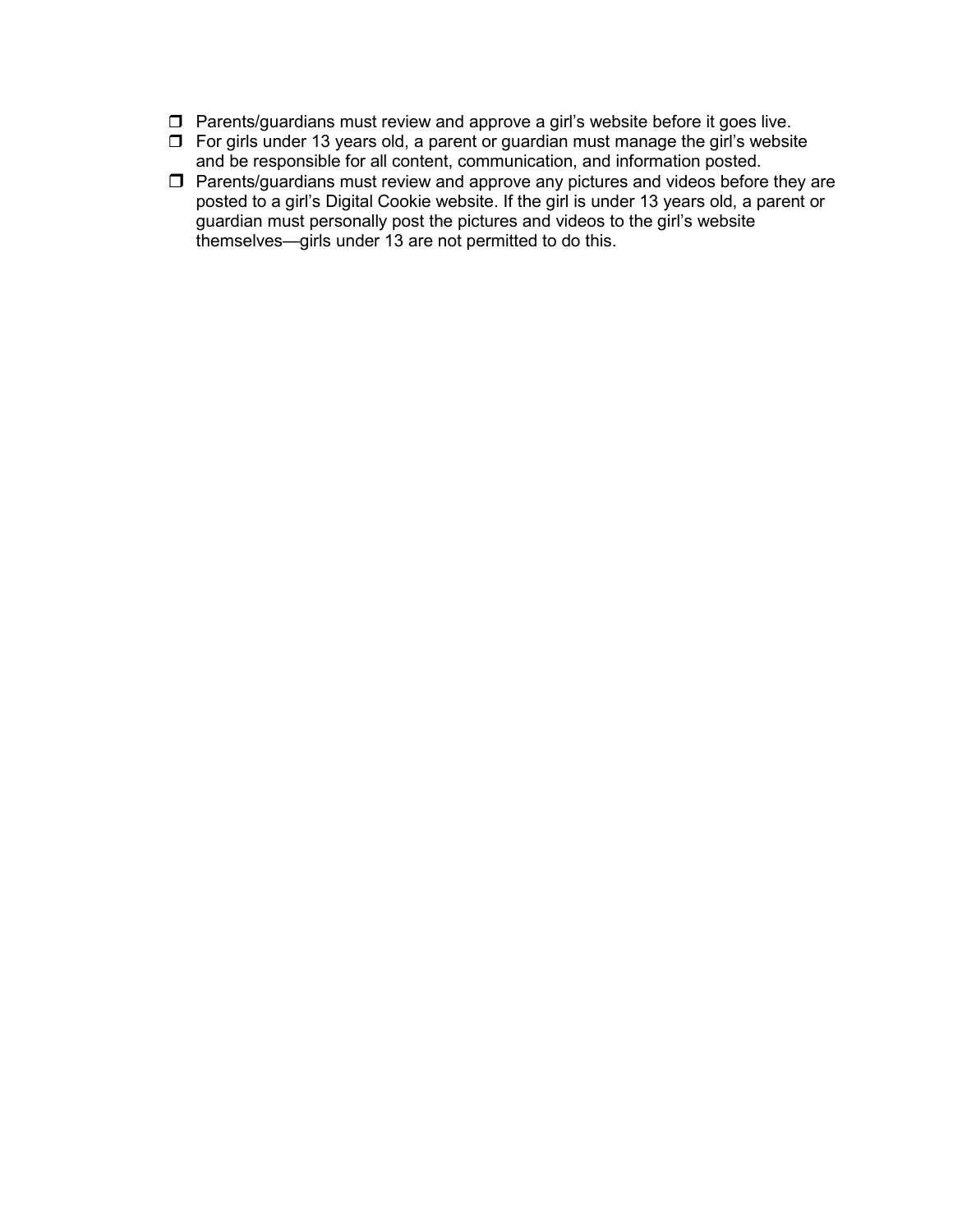- $\Box$  Parents/guardians must review and approve a girl's website before it goes live.
- $\Box$  For girls under 13 years old, a parent or guardian must manage the girl's website and be responsible for all content, communication, and information posted.
- $\Box$  Parents/guardians must review and approve any pictures and videos before they are posted to a girl's Digital Cookie website. If the girl is under 13 years old, a parent or guardian must personally post the pictures and videos to the girl's website themselves—girls under 13 are not permitted to do this.